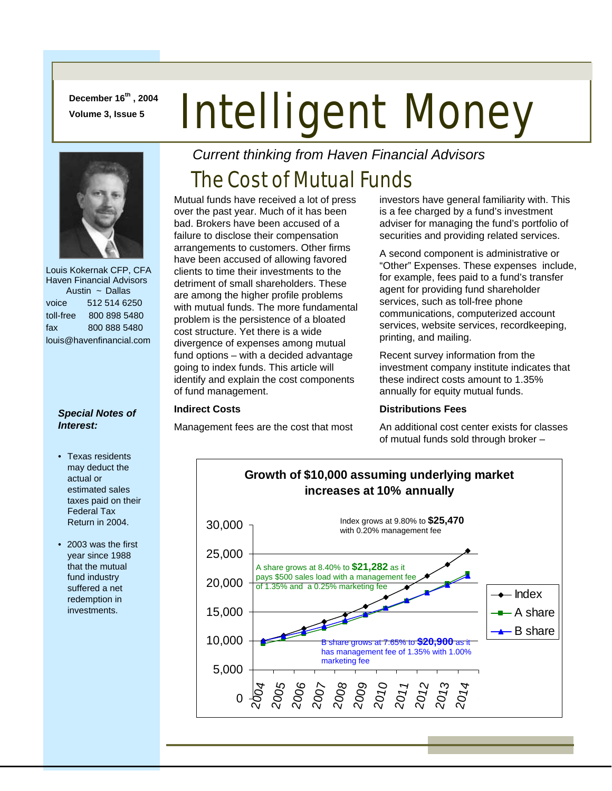**December 16th , 2004** 

# December 16<sup>er</sup>, 2004 **Intelligent Money**



 Louis Kokernak CFP, CFA Haven Financial Advisors Austin ~ Dallas voice 512 514 6250 toll-free 800 898 5480 fax 800 888 5480 louis@havenfinancial.com

## *Special Notes of Interest:*

- Texas residents may deduct the actual or estimated sales taxes paid on their Federal Tax Return in 2004.
- 2003 was the first year since 1988 that the mutual fund industry suffered a net redemption in investments.

*Current thinking from Haven Financial Advisors* 

## The Cost of Mutual Funds

Mutual funds have received a lot of press over the past year. Much of it has been bad. Brokers have been accused of a failure to disclose their compensation arrangements to customers. Other firms have been accused of allowing favored clients to time their investments to the detriment of small shareholders. These are among the higher profile problems with mutual funds. The more fundamental problem is the persistence of a bloated cost structure. Yet there is a wide divergence of expenses among mutual fund options – with a decided advantage going to index funds. This article will identify and explain the cost components of fund management.

## **Indirect Costs**

Management fees are the cost that most

investors have general familiarity with. This is a fee charged by a fund's investment adviser for managing the fund's portfolio of securities and providing related services.

A second component is administrative or "Other" Expenses. These expenses include, for example, fees paid to a fund's transfer agent for providing fund shareholder services, such as toll-free phone communications, computerized account services, website services, recordkeeping, printing, and mailing.

Recent survey information from the investment company institute indicates that these indirect costs amount to 1.35% annually for equity mutual funds.

## **Distributions Fees**

An additional cost center exists for classes of mutual funds sold through broker –